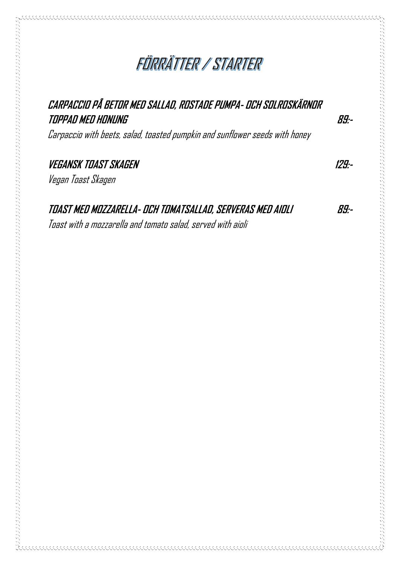# FÜRRÄTTER / STARTER

## **CARPACCIO PÅ BETOR MED SALLAD, ROSTADE PUMPA- OCH SOLROSKÄRNOR TOPPAD MED HONUNG 89:-** Carpaccio with beets, salad, toasted pumpkin and sunflower seeds with honey **VEGANSK TOAST SKAGEN 129:-** Vegan Toast Skagen **TOAST MED MOZZARELLA- OCH TOMATSALLAD, SERVERAS MED AIOLI 89:-** Toast with a mozzarella and tomato salad, served with aioli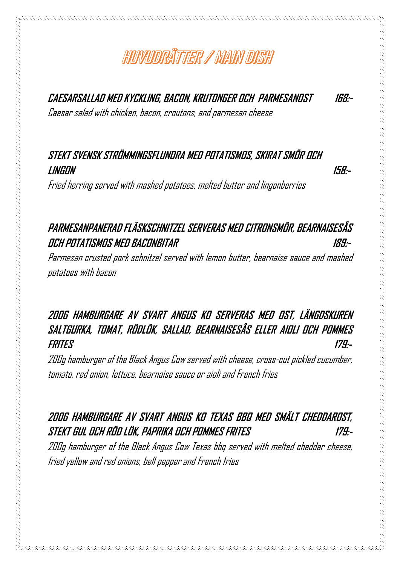## HUVUURÄTTER / MAIN DISH

**CAESARSALLAD MED KYCKLING, BACON, KRUTONGER OCH PARMESANOST 168:-**

Caesar salad with chicken, bacon, croutons, and parmesan cheese

#### **STEKT SVENSK STRÖMMINGSFLUNDRA MED POTATISMOS, SKIRAT SMÖR OCH LINGON 158:-**

Fried herring served with mashed potatoes, melted butter and lingonberries

#### **PARMESANPANERAD FLÄSKSCHNITZEL SERVERAS MED CITRONSMÖR, BEARNAISESÅS OCH POTATISMOS MED BACONBITAR 189:-**

Parmesan crusted pork schnitzel served with lemon butter, bearnaise sauce and mashed potatoes with bacon

#### **200G HAMBURGARE AV SVART ANGUS KO SERVERAS MED OST, LÄNGDSKUREN SALTGURKA, TOMAT, RÖDLÖK, SALLAD, BEARNAISESÅS ELLER AIOLI OCH POMMES FRITES 179:-**

200g hamburger of the Black Angus Cow served with cheese, cross-cut pickled cucumber, tomato, red onion, lettuce, bearnaise sauce or aioli and French fries

#### **200G HAMBURGARE AV SVART ANGUS KO TEXAS BBQ MED SMÄLT CHEDDAROST, STEKT GUL OCH RÖD LÖK, PAPRIKA OCH POMMES FRITES 179:-**

200g hamburger of the Black Angus Cow Texas bbq served with melted cheddar cheese, fried yellow and red onions, bell pepper and French fries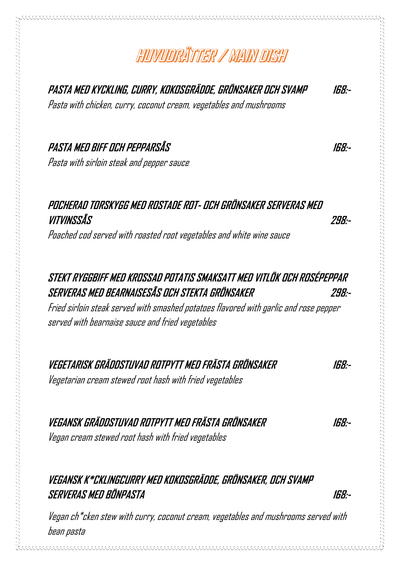# HUVUURÄTTER / MAIN DISH

**PASTA MED KYCKLING, CURRY, KOKOSGRÄDDE, GRÖNSAKER OCH SVAMP 168:-**

Pasta with chicken, curry, coconut cream, vegetables and mushrooms

#### **PASTA MED BIFF OCH PEPPARSÅS 168:-**

Pasta with sirloin steak and pepper sauce

### **POCHERAD TORSKYGG MED ROSTADE ROT- OCH GRÖNSAKER SERVERAS MED VITVINSSÅS 298:-**

Poached cod served with roasted root vegetables and white wine sauce

### **STEKT RYGGBIFF MED KROSSAD POTATIS SMAKSATT MED VITLÖK OCH ROSÉPEPPAR SERVERAS MED BEARNAISESÅS OCH STEKTA GRÖNSAKER 298:-**

Fried sirloin steak served with smashed potatoes flavored with garlic and rose pepper served with bearnaise sauce and fried vegetables

### **VEGETARISK GRÄDDSTUVAD ROTPYTT MED FRÄSTA GRÖNSAKER 168:-**

Vegetarian cream stewed root hash with fried vegetables

**VEGANSK GRÄDDSTUVAD ROTPYTT MED FRÄSTA GRÖNSAKER 168:-**

Vegan cream stewed root hash with fried vegetables

### **VEGANSK K\*CKLINGCURRY MED KOKOSGRÄDDE, GRÖNSAKER, OCH SVAMP SERVERAS MED BÖNPASTA 168:-**

Vegan ch\*cken stew with curry, coconut cream, vegetables and mushrooms served with bean pasta